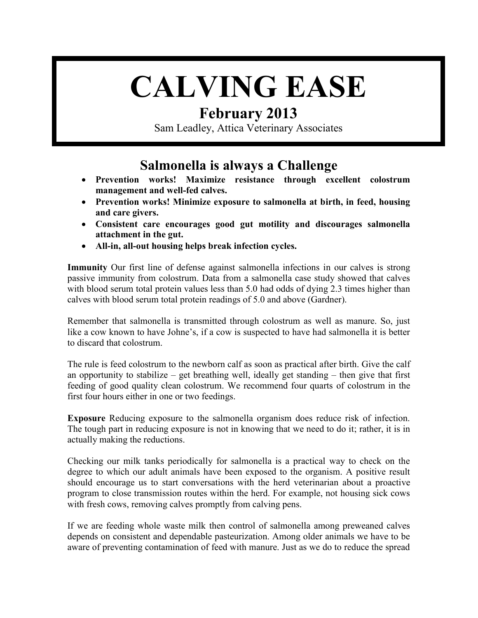# **CALVING EASE**

## **February 2013**

Sam Leadley, Attica Veterinary Associates

## **Salmonella is always a Challenge**

- **Prevention works! Maximize resistance through excellent colostrum management and well-fed calves.**
- **Prevention works! Minimize exposure to salmonella at birth, in feed, housing and care givers.**
- **Consistent care encourages good gut motility and discourages salmonella attachment in the gut.**
- **All-in, all-out housing helps break infection cycles.**

**Immunity** Our first line of defense against salmonella infections in our calves is strong passive immunity from colostrum. Data from a salmonella case study showed that calves with blood serum total protein values less than 5.0 had odds of dying 2.3 times higher than calves with blood serum total protein readings of 5.0 and above (Gardner).

Remember that salmonella is transmitted through colostrum as well as manure. So, just like a cow known to have Johne's, if a cow is suspected to have had salmonella it is better to discard that colostrum.

The rule is feed colostrum to the newborn calf as soon as practical after birth. Give the calf an opportunity to stabilize – get breathing well, ideally get standing – then give that first feeding of good quality clean colostrum. We recommend four quarts of colostrum in the first four hours either in one or two feedings.

**Exposure** Reducing exposure to the salmonella organism does reduce risk of infection. The tough part in reducing exposure is not in knowing that we need to do it; rather, it is in actually making the reductions.

Checking our milk tanks periodically for salmonella is a practical way to check on the degree to which our adult animals have been exposed to the organism. A positive result should encourage us to start conversations with the herd veterinarian about a proactive program to close transmission routes within the herd. For example, not housing sick cows with fresh cows, removing calves promptly from calving pens.

If we are feeding whole waste milk then control of salmonella among preweaned calves depends on consistent and dependable pasteurization. Among older animals we have to be aware of preventing contamination of feed with manure. Just as we do to reduce the spread